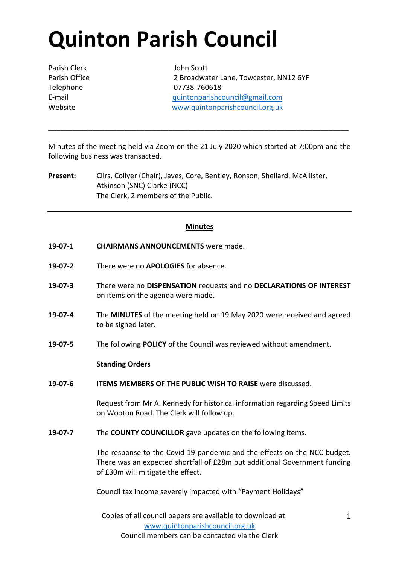# **Quinton Parish Council**

Parish Clerk John Scott

Parish Office 2 Broadwater Lane, Towcester, NN12 6YF Telephone 07738-760618 E-mail [quintonparishcouncil@gmail.com](mailto:quintonparishcouncil@gmail.com) Website [www.quintonparishcouncil.org.uk](http://www.quintonparishcouncil.org.uk/)

Minutes of the meeting held via Zoom on the 21 July 2020 which started at 7:00pm and the following business was transacted.

\_\_\_\_\_\_\_\_\_\_\_\_\_\_\_\_\_\_\_\_\_\_\_\_\_\_\_\_\_\_\_\_\_\_\_\_\_\_\_\_\_\_\_\_\_\_\_\_\_\_\_\_\_\_\_\_\_\_\_\_\_\_\_\_\_\_\_\_\_\_\_\_\_\_\_

**Present:** Cllrs. Collyer (Chair), Javes, Core, Bentley, Ronson, Shellard, McAllister, Atkinson (SNC) Clarke (NCC) The Clerk, 2 members of the Public.

## **Minutes**

- **19-07-1 CHAIRMANS ANNOUNCEMENTS** were made.
- **19-07-2** There were no **APOLOGIES** for absence.
- **19-07-3** There were no **DISPENSATION** requests and no **DECLARATIONS OF INTEREST**  on items on the agenda were made.
- **19-07-4** The **MINUTES** of the meeting held on 19 May 2020 were received and agreed to be signed later.
- **19-07-5** The following **POLICY** of the Council was reviewed without amendment.

### **Standing Orders**

**19-07-6 ITEMS MEMBERS OF THE PUBLIC WISH TO RAISE** were discussed.

Request from Mr A. Kennedy for historical information regarding Speed Limits on Wooton Road. The Clerk will follow up.

**19-07-7** The **COUNTY COUNCILLOR** gave updates on the following items.

The response to the Covid 19 pandemic and the effects on the NCC budget. There was an expected shortfall of £28m but additional Government funding of £30m will mitigate the effect.

Council tax income severely impacted with "Payment Holidays"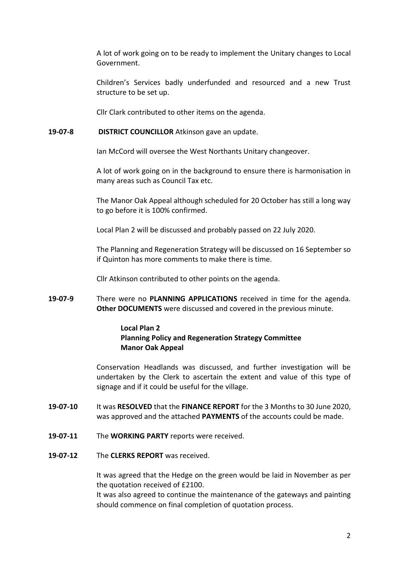A lot of work going on to be ready to implement the Unitary changes to Local Government.

Children's Services badly underfunded and resourced and a new Trust structure to be set up.

Cllr Clark contributed to other items on the agenda.

## **19-07-8 DISTRICT COUNCILLOR** Atkinson gave an update.

Ian McCord will oversee the West Northants Unitary changeover.

A lot of work going on in the background to ensure there is harmonisation in many areas such as Council Tax etc.

The Manor Oak Appeal although scheduled for 20 October has still a long way to go before it is 100% confirmed.

Local Plan 2 will be discussed and probably passed on 22 July 2020.

The Planning and Regeneration Strategy will be discussed on 16 September so if Quinton has more comments to make there is time.

Cllr Atkinson contributed to other points on the agenda.

**19-07-9** There were no **PLANNING APPLICATIONS** received in time for the agenda. **Other DOCUMENTS** were discussed and covered in the previous minute.

## **Local Plan 2 Planning Policy and Regeneration Strategy Committee Manor Oak Appeal**

Conservation Headlands was discussed, and further investigation will be undertaken by the Clerk to ascertain the extent and value of this type of signage and if it could be useful for the village.

- **19-07-10** It was **RESOLVED** that the **FINANCE REPORT** for the 3 Months to 30 June 2020, was approved and the attached **PAYMENTS** of the accounts could be made.
- **19-07-11** The **WORKING PARTY** reports were received.
- **19-07-12** The **CLERKS REPORT** was received.

It was agreed that the Hedge on the green would be laid in November as per the quotation received of £2100.

It was also agreed to continue the maintenance of the gateways and painting should commence on final completion of quotation process.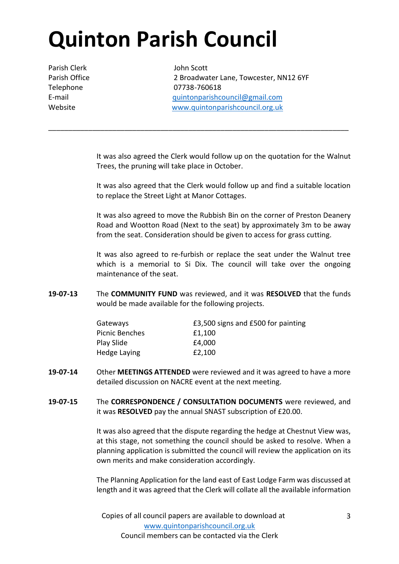# **Quinton Parish Council**

Parish Clerk John Scott

Parish Office 2 Broadwater Lane, Towcester, NN12 6YF Telephone 07738-760618 E-mail [quintonparishcouncil@gmail.com](mailto:quintonparishcouncil@gmail.com) Website [www.quintonparishcouncil.org.uk](http://www.quintonparishcouncil.org.uk/)

> It was also agreed the Clerk would follow up on the quotation for the Walnut Trees, the pruning will take place in October.

\_\_\_\_\_\_\_\_\_\_\_\_\_\_\_\_\_\_\_\_\_\_\_\_\_\_\_\_\_\_\_\_\_\_\_\_\_\_\_\_\_\_\_\_\_\_\_\_\_\_\_\_\_\_\_\_\_\_\_\_\_\_\_\_\_\_\_\_\_\_\_\_\_\_\_

It was also agreed that the Clerk would follow up and find a suitable location to replace the Street Light at Manor Cottages.

It was also agreed to move the Rubbish Bin on the corner of Preston Deanery Road and Wootton Road (Next to the seat) by approximately 3m to be away from the seat. Consideration should be given to access for grass cutting.

It was also agreed to re-furbish or replace the seat under the Walnut tree which is a memorial to Si Dix. The council will take over the ongoing maintenance of the seat.

**19-07-13** The **COMMUNITY FUND** was reviewed, and it was **RESOLVED** that the funds would be made available for the following projects.

| Gateways       | £3,500 signs and £500 for painting |
|----------------|------------------------------------|
| Picnic Benches | £1,100                             |
| Play Slide     | £4,000                             |
| Hedge Laying   | £2,100                             |

- **19-07-14** Other **MEETINGS ATTENDED** were reviewed and it was agreed to have a more detailed discussion on NACRE event at the next meeting.
- **19-07-15** The **CORRESPONDENCE / CONSULTATION DOCUMENTS** were reviewed, and it was **RESOLVED** pay the annual SNAST subscription of £20.00.

It was also agreed that the dispute regarding the hedge at Chestnut View was, at this stage, not something the council should be asked to resolve. When a planning application is submitted the council will review the application on its own merits and make consideration accordingly.

The Planning Application for the land east of East Lodge Farm was discussed at length and it was agreed that the Clerk will collate all the available information